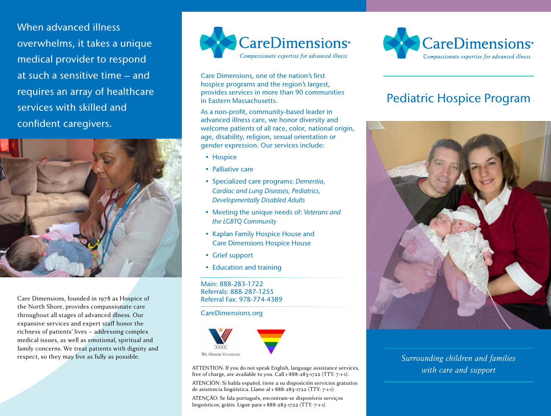When advanced illness overwhelms, it takes a unique medical provider to respond at such a sensitive time – and requires an array of healthcare services with skilled and confident caregivers.



Care Dimensions, founded in 1978 as Hospice of the North Shore, provides compassionate care throughout all stages of advanced illness. Our expansive services and expert staff honor the richness of patients' lives – addressing complex medical issues, as well as emotional, spiritual and family concerns. We treat patients with dignity and respect, so they may live as fully as possible.



Care Dimensions, one of the nation's first hospice programs and the region's largest, provides services in more than 90 communities in Eastern Massachusetts.

As a non-profit, community-based leader in advanced illness care, we honor diversity and welcome patients of all race, color, national origin, age, disability, religion, sexual orientation or gender expression. Our services include:

- Hospice
- Palliative care
- Specialized care programs: *Dementia, Cardiac and Lung Diseases, Pediatrics, Developmentally Disabled Adults*
- Meeting the unique needs of: *Veterans and the LGBTQ Community*
- Kaplan Family Hospice House and Care Dimensions Hospice House
- Grief support
- Education and training

Main: 888-283-1722 Referrals: 888-287-1255 Referral Fax: 978-774-4389

CareDimensions.org



ATTENTION: If you do not speak English, language assistance services, free of charge, are available to you. Call 1-888-283-1722 (TTY: 7-1-1).

ATENCIÓN: Si habla español, tiene a su disposición servicios gratuitos de asistencia lingüística. Llame al 1-888-283-1722 (TTY: 7-1-1).

ATENÇÃO: Se fala português, encontram-se disponíveis serviços linguísticos, grátis. Ligue para 1-888-283-1722 (TTY: 7-1-1).



# Pediatric Hospice Program



*Surrounding children and families with care and support*